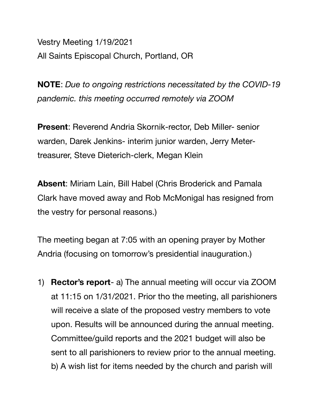Vestry Meeting 1/19/2021 All Saints Episcopal Church, Portland, OR

**NOTE**: *Due to ongoing restrictions necessitated by the COVID-19 pandemic. this meeting occurred remotely via ZOOM* 

**Present**: Reverend Andria Skornik-rector, Deb Miller- senior warden, Darek Jenkins- interim junior warden, Jerry Metertreasurer, Steve Dieterich-clerk, Megan Klein

**Absent**: Miriam Lain, Bill Habel (Chris Broderick and Pamala Clark have moved away and Rob McMonigal has resigned from the vestry for personal reasons.)

The meeting began at 7:05 with an opening prayer by Mother Andria (focusing on tomorrow's presidential inauguration.)

1) **Rector's report**- a) The annual meeting will occur via ZOOM at 11:15 on 1/31/2021. Prior tho the meeting, all parishioners will receive a slate of the proposed vestry members to vote upon. Results will be announced during the annual meeting. Committee/guild reports and the 2021 budget will also be sent to all parishioners to review prior to the annual meeting. b) A wish list for items needed by the church and parish will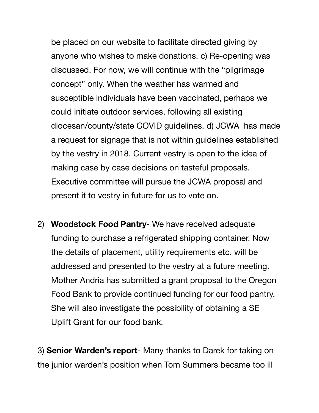be placed on our website to facilitate directed giving by anyone who wishes to make donations. c) Re-opening was discussed. For now, we will continue with the "pilgrimage concept" only. When the weather has warmed and susceptible individuals have been vaccinated, perhaps we could initiate outdoor services, following all existing diocesan/county/state COVID guidelines. d) JCWA has made a request for signage that is not within guidelines established by the vestry in 2018. Current vestry is open to the idea of making case by case decisions on tasteful proposals. Executive committee will pursue the JCWA proposal and present it to vestry in future for us to vote on.

2) **Woodstock Food Pantry**- We have received adequate funding to purchase a refrigerated shipping container. Now the details of placement, utility requirements etc. will be addressed and presented to the vestry at a future meeting. Mother Andria has submitted a grant proposal to the Oregon Food Bank to provide continued funding for our food pantry. She will also investigate the possibility of obtaining a SE Uplift Grant for our food bank.

3) **Senior Warden's report**- Many thanks to Darek for taking on the junior warden's position when Tom Summers became too ill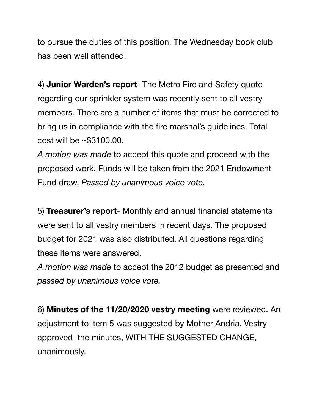to pursue the duties of this position. The Wednesday book club has been well attended.

4) **Junior Warden's report**- The Metro Fire and Safety quote regarding our sprinkler system was recently sent to all vestry members. There are a number of items that must be corrected to bring us in compliance with the fire marshal's guidelines. Total cost will be ~\$3100.00.

*A motion was made* to accept this quote and proceed with the proposed work. Funds will be taken from the 2021 Endowment Fund draw. *Passed by unanimous voice vote.*

5) **Treasurer's report**- Monthly and annual financial statements were sent to all vestry members in recent days. The proposed budget for 2021 was also distributed. All questions regarding these items were answered.

*A motion was made* to accept the 2012 budget as presented and *passed by unanimous voice vote.* 

6) **Minutes of the 11/20/2020 vestry meeting** were reviewed. An adjustment to item 5 was suggested by Mother Andria. Vestry approved the minutes, WITH THE SUGGESTED CHANGE, unanimously.